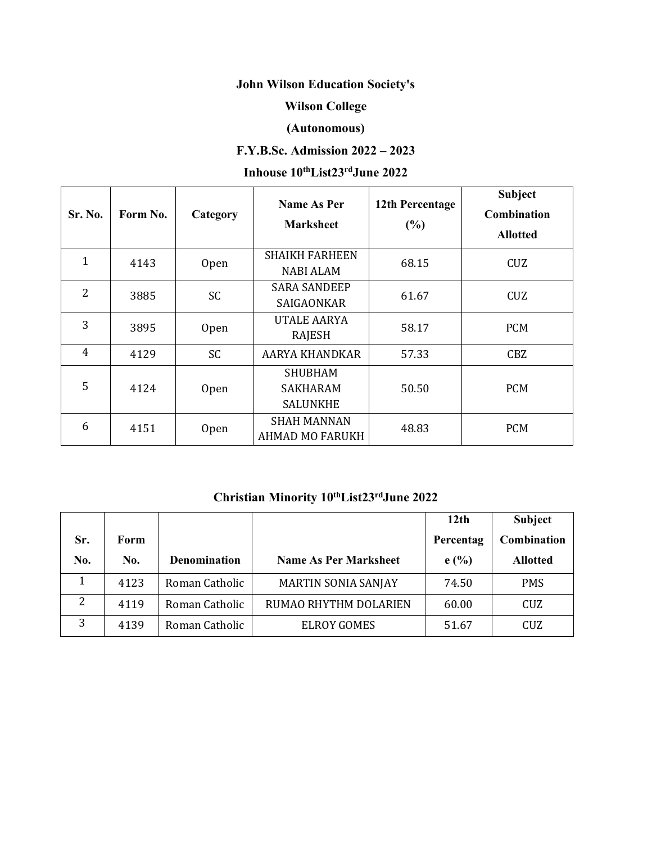# **John Wilson Education Society's**

## **Wilson College**

## **(Autonomous)**

## **F.Y.B.Sc. Admission 2022 – 2023**

### **Inhouse 10 thList23 rdJune 2022**

| Sr. No.      | Form No. | Category    | <b>Name As Per</b><br><b>Marksheet</b>        | 12th Percentage<br>(%) | <b>Subject</b><br><b>Combination</b><br><b>Allotted</b> |  |
|--------------|----------|-------------|-----------------------------------------------|------------------------|---------------------------------------------------------|--|
| $\mathbf{1}$ | 4143     | Open        | <b>SHAIKH FARHEEN</b><br><b>NABI ALAM</b>     | 68.15                  | CUZ                                                     |  |
| 2            | 3885     | SC          | <b>SARA SANDEEP</b><br>SAIGAONKAR             | 61.67                  | CUZ                                                     |  |
| 3            | 3895     | Open        | <b>UTALE AARYA</b><br>RAJESH                  | 58.17                  | <b>PCM</b>                                              |  |
| 4            | 4129     | <b>SC</b>   | AARYA KHANDKAR                                | 57.33                  | <b>CBZ</b>                                              |  |
| 5            | 4124     | Open        | <b>SHUBHAM</b><br>SAKHARAM<br><b>SALUNKHE</b> | 50.50                  | <b>PCM</b>                                              |  |
| 6            | 4151     | <b>Open</b> | <b>SHAH MANNAN</b><br><b>AHMAD MO FARUKH</b>  | 48.83                  | <b>PCM</b>                                              |  |

### **Christian Minority 10 thList23 rdJune 2022**

|     |             |                     |                              | 12 <sub>th</sub> | Subject         |
|-----|-------------|---------------------|------------------------------|------------------|-----------------|
| Sr. | <b>Form</b> |                     |                              | Percentag        | Combination     |
| No. | No.         | <b>Denomination</b> | <b>Name As Per Marksheet</b> | e(%)             | <b>Allotted</b> |
|     | 4123        | Roman Catholic      | <b>MARTIN SONIA SANJAY</b>   | 74.50            | <b>PMS</b>      |
| 2   | 4119        | Roman Catholic      | RUMAO RHYTHM DOLARIEN        | 60.00            | CUZ             |
| 3   | 4139        | Roman Catholic      | <b>ELROY GOMES</b>           | 51.67            | CUZ             |